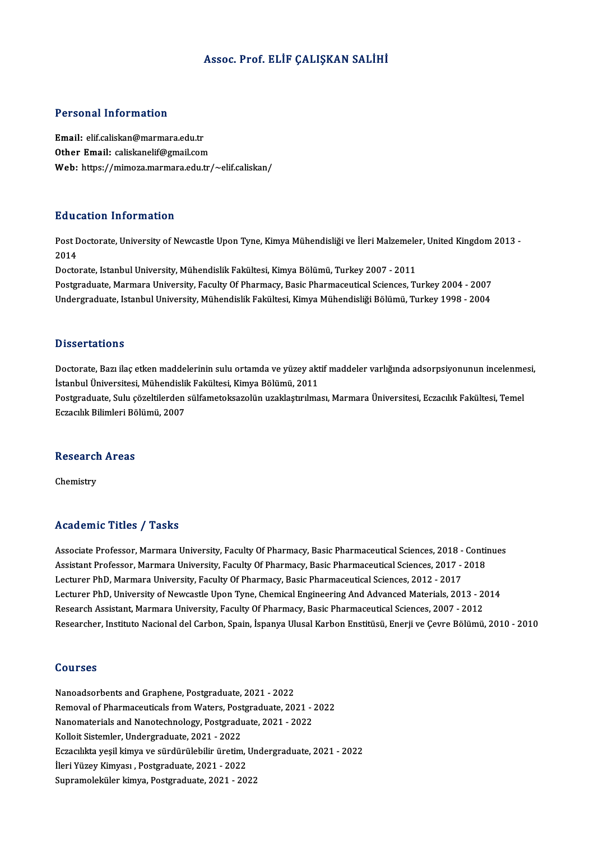## Assoc. Prof. ELİF ÇALIŞKAN SALİHİ

## Personal Information

Email: elif.caliskan@marmara.edu.tr Other Email: caliskanelif@gmail.com Web: https://mimoza.marmara.edu.tr/~elif.caliskan/

### Education Information

**Education Information**<br>Post Doctorate, University of Newcastle Upon Tyne, Kimya Mühendisliği ve İleri Malzemeler, United Kingdom 2013 -<br>2014 Post D<br>Post D<br>2014 2014<br>Doctorate, Istanbul University, Mühendislik Fakültesi, Kimya Bölümü, Turkey 2007 - 2011

Postgraduate, Marmara University, Faculty Of Pharmacy, Basic Pharmaceutical Sciences, Turkey 2004 - 2007 Undergraduate, Istanbul University, Mühendislik Fakültesi, Kimya Mühendisliği Bölümü, Turkey 1998 - 2004

### **Dissertations**

Dissertations<br>Doctorate, Bazı ilaç etken maddelerinin sulu ortamda ve yüzey aktif maddeler varlığında adsorpsiyonunun incelenmesi,<br>İstanbul Üniversitesi, Mühandislik Fakültesi, Kimya Bölümü, 2011 Bissori tatroms<br>Doctorate, Bazı ilaç etken maddelerinin sulu ortamda ve yüzey akt<br>İstanbul Üniversitesi, Mühendislik Fakültesi, Kimya Bölümü, 2011<br>Postanaduata Sulu gözeltilerden gülfemeteksezelün uzaklastırılma Doctorate, Bazı ilaç etken maddelerinin sulu ortamda ve yüzey aktif maddeler varlığında adsorpsiyonunun incelenme<br>İstanbul Üniversitesi, Mühendislik Fakültesi, Kimya Bölümü, 2011<br>Postgraduate, Sulu çözeltilerden sülfametok

İstanbul Üniversitesi, Mühendislik Fakültesi, Kimya Bölümü, 2011<br>Postgraduate, Sulu çözeltilerden sülfametoksazolün uzaklaştırılması, Marmara Üniversitesi, Eczacılık Fakültesi, Temel<br>Eczacılık Bilimleri Bölümü. 2007

## eczaciik Bilimieri Bo<br>Research Areas Re<mark>search</mark><br>Chemistry

## Academic Titles / Tasks

Academic Titles / Tasks<br>Associate Professor, Marmara University, Faculty Of Pharmacy, Basic Pharmaceutical Sciences, 2018 - Continues<br>Assistant Professor, Marmara University, Faculty Of Pharmagy, Pasis Pharmaceutical Scien Associate Professor, Marmara University, Faculty Of Pharmacy, Basic Pharmaceutical Sciences, 2018 - Contin<br>Assistant Professor, Marmara University, Faculty Of Pharmacy, Basic Pharmaceutical Sciences, 2017 - 2018<br>Lecturer P Associate Professor, Marmara University, Faculty Of Pharmacy, Basic Pharmaceutical Sciences, 2018 -<br>Assistant Professor, Marmara University, Faculty Of Pharmacy, Basic Pharmaceutical Sciences, 2017 -<br>Lecturer PhD, Marmara Assistant Professor, Marmara University, Faculty Of Pharmacy, Basic Pharmaceutical Sciences, 2017 - 2018<br>Lecturer PhD, Marmara University, Faculty Of Pharmacy, Basic Pharmaceutical Sciences, 2012 - 2017<br>Lecturer PhD, Unive Lecturer PhD, Marmara University, Faculty Of Pharmacy, Basic Pharmaceutical Sciences, 2012 - 2017<br>Lecturer PhD, University of Newcastle Upon Tyne, Chemical Engineering And Advanced Materials, 2013 - 20<br>Research Assistant, Research Assistant, Marmara University, Faculty Of Pharmacy, Basic Pharmaceutical Sciences, 2007 - 2012<br>Researcher, Instituto Nacional del Carbon, Spain, İspanya Ulusal Karbon Enstitüsü, Enerji ve Çevre Bölümü, 2010 - 2010

### Courses

Nanoadsorbents and Graphene, Postgraduate, 2021 - 2022 Sourbes<br>Nanoadsorbents and Graphene, Postgraduate, 2021 - 2022<br>Removal of Pharmaceuticals from Waters, Postgraduate, 2021 - 2022<br>Nanomaterials and Nanotashnology, Bostgraduate, 2021 - 2022 Nanoadsorbents and Graphene, Postgraduate, 2021 - 2022<br>Removal of Pharmaceuticals from Waters, Postgraduate, 2021 - 2<br>Nanomaterials and Nanotechnology, Postgraduate, 2021 - 2022<br>Kellejt Sistemler, Undergraduate, 2021 - 202 Removal of Pharmaceuticals from Waters, Post<br>Nanomaterials and Nanotechnology, Postgradu<br>Kolloit Sistemler, Undergraduate, 2021 - 2022<br>Especulite vosil kimue ve sündürülebilir ünstim Nanomaterials and Nanotechnology, Postgraduate, 2021 - 2022<br>Kolloit Sistemler, Undergraduate, 2021 - 2022<br>Eczacılıkta yeşil kimya ve sürdürülebilir üretim, Undergraduate, 2021 - 2022<br>İleri Yüzey Kimyası , Postgraduate, 202 Kolloit Sistemler, Undergraduate, 2021 - 2022 Supramoleküler kimya, Postgraduate, 2021 - 2022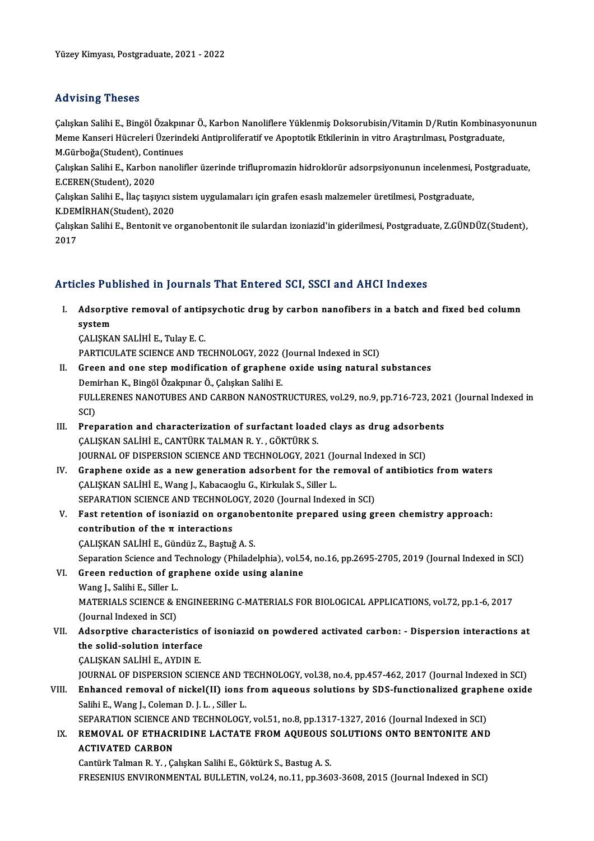## Advising Theses

Advising Theses<br>Çalışkan Salihi E., Bingöl Özakpınar Ö., Karbon Nanoliflere Yüklenmiş Doksorubisin/Vitamin D/Rutin Kombinasyonunun<br>Mama Kansari Hüsroleri Üzerindeki Antipreliferatif ve Apontotik Etkilerinin in vitre Arastı Memet Yonny Yndodod<br>Çalışkan Salihi E., Bingöl Özakpınar Ö., Karbon Nanoliflere Yüklenmiş Doksorubisin/Vitamin D/Rutin Kombinasy<br>M.Gürboğa(Student), Continues Çalışkan Salihi E., Bingöl Özakpın<br>Meme Kanseri Hücreleri Üzerind<br>M.Gürboğa(Student), Continues<br>Calıskan Salihi E., Karbon nanolit Meme Kanseri Hücreleri Üzerindeki Antiproliferatif ve Apoptotik Etkilerinin in vitro Araştırılması, Postgraduate,<br>M.Gürboğa(Student), Continues<br>Çalışkan Salihi E., Karbon nanolifler üzerinde triflupromazin hidroklorür adso

M.Gürboğa(Student), Continues<br>Çalışkan Salihi E., Karbon nanoli<br>E.CEREN(Student), 2020 Çalışkan Salihi E., Karbon nanolifler üzerinde triflupromazin hidroklorür adsorpsiyonunun incelenmesi,<br>E.CEREN(Student), 2020<br>Çalışkan Salihi E., İlaç taşıyıcı sistem uygulamaları için grafen esaslı malzemeler üretilmesi,

Calışkan Salihi E., İlaç taşıyıcı sistem uygulamaları için grafen esaslı malzemeler üretilmesi, Postgraduate,

KDEMİRHAN(Student), 2020

Çalışkan Salihi E., Bentonit ve organobentonit ile sulardan izoniazid'in giderilmesi, Postgraduate, Z.GÜNDÜZ(Student),<br>2017

## Articles Published in Journals That Entered SCI, SSCI and AHCI Indexes

rticles Published in Journals That Entered SCI, SSCI and AHCI Indexes<br>I. Adsorptive removal of antipsychotic drug by carbon nanofibers in a batch and fixed bed column<br>system Adsorpt<br>System<br>CALISKA Adsorptive removal of antip<br>system<br>ÇALIŞKAN SALİHİ E., Tulay E. C.<br>PARTICULATE SCIENCE AND TE system<br>ÇALIŞKAN SALİHİ E., Tulay E. C.<br>PARTICULATE SCIENCE AND TECHNOLOGY, 2022 (Journal Indexed in SCI)<br>Creen and ane step modification of srephene exide using natural

- CALISKAN SALİHİ E., Tulay E. C.<br>PARTICULATE SCIENCE AND TECHNOLOGY, 2022 (Journal Indexed in SCI)<br>II. Green and one step modification of graphene oxide using natural substances<br>Demirhan K., Bingöl Özakpınar Ö., Çalışkan Sa PARTICULATE SCIENCE AND TECHNOLOGY, 2022 (<br>Green and one step modification of graphene<br>Demirhan K., Bingöl Özakpınar Ö., Çalışkan Salihi E.<br>ELILLERENES NANOTURES AND GARRON NANOSTI Green and one step modification of graphene oxide using natural substances<br>Demirhan K., Bingöl Özakpınar Ö., Çalışkan Salihi E.<br>FULLERENES NANOTUBES AND CARBON NANOSTRUCTURES, vol.29, no.9, pp.716-723, 2021 (Journal Indexe Dem<br>FULI<br>SCI)<br>Prer FULLERENES NANOTUBES AND CARBON NANOSTRUCTURES, vol.29, no.9, pp.716-723, 202<br>SCI)<br>III. Preparation and characterization of surfactant loaded clays as drug adsorbents<br>CALISVAN SALIHUE CANTURY TALMAN B.V. CÖVTÜRY S
- SCI)<br>Preparation and characterization of surfactant loade<br>CALISKAN SALİHİ E., CANTÜRK TALMAN R. Y. , GÖKTÜRK S.<br>JOUPNAL OF DISPERSION SCIENCE AND TECHNOLOCY 202 Preparation and characterization of surfactant loaded clays as drug adsorbe<br>CALISKAN SALIHI E., CANTÜRK TALMAN R. Y. , GÖKTÜRK S.<br>JOURNAL OF DISPERSION SCIENCE AND TECHNOLOGY, 2021 (Journal Indexed in SCI)<br>Craphane avide a CALISKAN SALIHI E., CANTÜRK TALMAN R. Y. , GÖKTÜRK S.<br>JOURNAL OF DISPERSION SCIENCE AND TECHNOLOGY, 2021 (Journal Indexed in SCI)<br>IV. Graphene oxide as a new generation adsorbent for the removal of antibiotics from waters<br>
- JOURNAL OF DISPERSION SCIENCE AND TECHNOLOGY, 2021 (Journal Graphene oxide as a new generation adsorbent for the r<br>CALISKAN SALIHI E., Wang J., Kabacaoglu G., Kirkulak S., Siller L.<br>SERARATION SCIENCE AND TECHNOLOGY, 2020 Graphene oxide as a new generation adsorbent for the removal c<br>CALISKAN SALIHI E., Wang J., Kabacaoglu G., Kirkulak S., Siller L.<br>SEPARATION SCIENCE AND TECHNOLOGY, 2020 (Journal Indexed in SCI)<br>Fest retention of isoniagid CALISKAN SALİHİ E., Wang J., Kabacaoglu G., Kirkulak S., Siller L.<br>SEPARATION SCIENCE AND TECHNOLOGY, 2020 (Journal Indexed in SCI)<br>V. Fast retention of isoniazid on organobentonite prepared using green chemistry approach:
- SEPARATION SCIENCE AND TECHNOLO<br>Fast retention of isoniazid on organizations<br>contribution of the π interactions Fast retention of isoniazid on organob<br>contribution of the π interactions<br>ÇALIŞKAN SALİHİ E., Gündüz Z., Baştuğ A. S.<br>Senaration Science and Technology (Philade contribution of the π interactions<br>CALISKAN SALİHİ E., Gündüz Z., Baştuğ A. S.<br>Separation Science and Technology (Philadelphia), vol.54, no.16, pp.2695-2705, 2019 (Journal Indexed in SCI)

- CALISKAN SALİHİ E., Gündüz Z., Baştuğ A. S.<br>Separation Science and Technology (Philadelphia), vol.5<br>VI. Green reduction of graphene oxide using alanine<br>Wang L. Salihi E. Sillor I. Separation Science and T<br>Green reduction of gra<br>Wang J., Salihi E., Siller L.<br>MATERIALS SCIENCE & B MATERIALS SCIENCE & ENGINEERING C-MATERIALS FOR BIOLOGICAL APPLICATIONS, vol.72, pp.1-6, 2017<br>(Journal Indexed in SCI) Wang J., Salihi E., Siller L.
- MATERIALS SCIENCE & ENGINEERING C-MATERIALS FOR BIOLOGICAL APPLICATIONS, vol.72, pp.1-6, 2017<br>(Journal Indexed in SCI)<br>VII. Adsorptive characteristics of isoniazid on powdered activated carbon: Dispersion interactions at (Journal Indexed in SCI)<br>Adsorptive characteristics of<br>the solid-solution interface<br>CALISMAN SALIHUE AVDINE the solid-solution interface<br>CALIŞKAN SALİHİ E., AYDIN E.

JOURNAL OF DISPERSION SCIENCE AND TECHNOLOGY, vol.38, no.4, pp.457-462, 2017 (Journal Indexed in SCI)

VIII. Enhanced removal of nickel(II) ions from aqueous solutions by SDS-functionalized graphene oxide Salihi E., Wang J., Coleman D. J. L., Siller L. Enhanced removal of nickel(II) ions from aqueous solutions by SDS-functionalized graph<br>Salihi E., Wang J., Coleman D. J. L. , Siller L.<br>SEPARATION SCIENCE AND TECHNOLOGY, vol.51, no.8, pp.1317-1327, 2016 (Journal Indexed i

Salihi E., Wang J., Coleman D. J. L. , Siller L.<br>SEPARATION SCIENCE AND TECHNOLOGY, vol.51, no.8, pp.1317-1327, 2016 (Journal Indexed in SCI)<br>IX. REMOVAL OF ETHACRIDINE LACTATE FROM AQUEOUS SOLUTIONS ONTO BENTONITE AND

## SEPARATION SCIENCE A<br>REMOVAL OF ETHACE<br>ACTIVATED CARBON REMOVAL OF ETHACRIDINE LACTATE FROM AQUEOUS :<br>ACTIVATED CARBON<br>Cantürk Talman R.Y., Çalışkan Salihi E., Göktürk S., Bastug A. S.<br>ERESENIJIS ENVIRONMENTAL BIJI LETIN vol 34 ro.11 rp.360 ACTIVATED CARBON<br>Cantürk Talman R. Y. , Çalışkan Salihi E., Göktürk S., Bastug A. S.<br>FRESENIUS ENVIRONMENTAL BULLETIN, vol.24, no.11, pp.3603-3608, 2015 (Journal Indexed in SCI)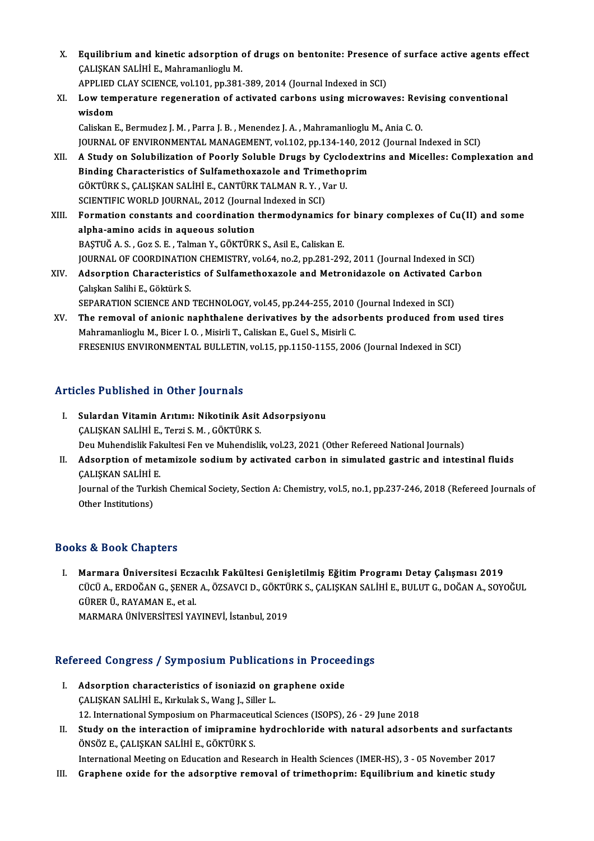X. Equilibrium and kinetic adsorption of drugs on bentonite: Presence of surface active agents effect<br>CALISKAN SALIHUE, Mohramanlicaly M ÇALIŞKAN SALİHİ E., Mahramanlioglu M. Equilibrium and kinetic adsorption of drugs on bentonite: Presence<br>CALISKAN SALIHI E., Mahramanlioglu M.<br>APPLIED CLAY SCIENCE, vol.101, pp.381-389, 2014 (Journal Indexed in SCI)<br>Low temperature reseneration of activated se

CALISKAN SALİHİ E., Mahramanlioglu M.<br>APPLIED CLAY SCIENCE, vol.101, pp.381-389, 2014 (Journal Indexed in SCI)<br>XI. Low temperature regeneration of activated carbons using microwaves: Revising conventional<br>wisdom APPLIED CLAY SCIENCE, vol.101, pp.381-389, 2014 (Journal Indexed in SCI)<br>Low temperature regeneration of activated carbons using microwaves: Rev<br>wisdom<br>Caliskan E., Bermudez J. M. , Parra J. B. , Menendez J. A. , Mahramanl Low temperature regeneration of activated carbons using microwaves: Rev<br>wisdom<br>Caliskan E., Bermudez J. M. , Parra J. B. , Menendez J. A. , Mahramanlioglu M., Ania C. O.<br>JOUPMAL OF ENVIRONMENTAL MANACEMENT vol 102, nn 124,

wisdom<br>Caliskan E., Bermudez J. M. , Parra J. B. , Menendez J. A. , Mahramanlioglu M., Ania C. O.<br>JOURNAL OF ENVIRONMENTAL MANAGEMENT, vol.102, pp.134-140, 2012 (Journal Indexed in SCI)<br>A. Study on Solubilization of Boorly

- XII. A Study on Solubilization of Poorly Soluble Drugs by Cyclodextrins and Micelles: Complexation and<br>Binding Characteristics of Sulfamethoxazole and Trimethoprim JOURNAL OF ENVIRONMENTAL MANAGEMENT, vol.102, pp.134-140, 201<br>A Study on Solubilization of Poorly Soluble Drugs by Cyclodextr<br>Binding Characteristics of Sulfamethoxazole and Trimethoprim<br>CÖKTÜPK S. CALISKAN SALIHLE CANTÜPK A Study on Solubilization of Poorly Soluble Drugs by Cyclo<br>Binding Characteristics of Sulfamethoxazole and Trimethop<br>GÖKTÜRK S., ÇALIŞKAN SALİHİ E., CANTÜRK TALMAN R. Y. , Var U.<br>SCIENTIEIC WORLD JOUPMAL, 2012 (Journal Ind Binding Characteristics of Sulfamethoxazole and Trime<br>GÖKTÜRK S., ÇALIŞKAN SALİHİ E., CANTÜRK TALMAN R. Y. , V<br>SCIENTIFIC WORLD JOURNAL, 2012 (Journal Indexed in SCI)<br>Formation sonstants and soordination thermedynamic SCIENTIFIC WORLD JOURNAL, 2012 (Journal Indexed in SCI)
- XIII. Formation constants and coordination thermodynamics for binary complexes of Cu(II) and some alpha-amino acids in aqueous solution BAŞTUĞA.S. ,Goz S.E. ,TalmanY.,GÖKTÜRKS.,AsilE.,CaliskanE. alpha-amino acids in aqueous solution<br>BAŞTUĞ A. S. , Goz S. E. , Talman Y., GÖKTÜRK S., Asil E., Caliskan E.<br>JOURNAL OF COORDINATION CHEMISTRY, vol.64, no.2, pp.281-292, 2011 (Journal Indexed in SCI)<br>Adeerntion Chanasteris BAŞTUĞ A. S. , Goz S. E. , Talman Y., GÖKTÜRK S., Asil E., Caliskan E.<br>JOURNAL OF COORDINATION CHEMISTRY, vol.64, no.2, pp.281-292, 2011 (Journal Indexed in SCI)<br>XIV. Adsorption Characteristics of Sulfamethoxazole and
- **JOURNAL OF COORDINATIO.<br>Adsorption Characteristi<br>Calışkan Salihi E., Göktürk S.<br>SERARATION SCIENCE AND** Adsorption Characteristics of Sulfamethoxazole and Metronidazole on Activated C:<br>Çalışkan Salihi E., Göktürk S.<br>SEPARATION SCIENCE AND TECHNOLOGY, vol.45, pp.244-255, 2010 (Journal Indexed in SCI)<br>The remeval of anienia na Calışkan Salihi E., Göktürk S.<br>SEPARATION SCIENCE AND TECHNOLOGY, vol.45, pp.244-255, 2010 (Journal Indexed in SCI)<br>XV. The removal of anionic naphthalene derivatives by the adsorbents produced from used tires<br>Mehramanligg
- SEPARATION SCIENCE AND TECHNOLOGY, vol.45, pp.244-255, 2010<br>The removal of anionic naphthalene derivatives by the adsor<br>Mahramanlioglu M., Bicer I. O. , Misirli T., Caliskan E., Guel S., Misirli C.<br>EDESENIUS ENVIDONMENTAL The removal of anionic naphthalene derivatives by the adsorbents produced from u<br>Mahramanlioglu M., Bicer I. O. , Misirli T., Caliskan E., Guel S., Misirli C.<br>FRESENIUS ENVIRONMENTAL BULLETIN, vol.15, pp.1150-1155, 2006 (J FRESENIUS ENVIRONMENTAL BULLETIN, vol.15, pp.1150-1155, 2006 (Journal Indexed in SCI)<br>Articles Published in Other Journals

- rticles Published in Other Journals<br>I. Sulardan Vitamin Arıtımı: Nikotinik Asit Adsorpsiyonu<br>CALISKAN SALİHİ E. Terri S.M. CÖKTÜPK S Stes 1 denenca in Gener Journals<br>Sulardan Vitamin Arıtımı: Nikotinik Asit<br>ÇALIŞKAN SALİHİ E., Terzi S. M. , GÖKTÜRK S.<br>Dev Muhandislik Falzıltesi Fen ve Muhandisli ÇALIŞKAN SALİHİ E., Terzi S. M. , GÖKTÜRK S.<br>Deu Muhendislik Fakultesi Fen ve Muhendislik, vol.23, 2021 (Other Refereed National Journals)
- II. Adsorption of metamizole sodium by activated carbon in simulated gastric and intestinal fluids Deu Muhendislik Fak<br>**Adsorption of met**<br>ÇALIŞKAN SALİHİ E.<br>Journal of the Turkia

Journal of the Turkish Chemical Society, Section A: Chemistry, vol.5, no.1, pp.237-246, 2018 (Refereed Journals of Other Institutions) ÇALIŞKAN SALİHİ I<br>Journal of the Turk<br>Other Institutions)

## Books&Book Chapters

OOks & Book Chapters<br>I. Marmara Üniversitesi Eczacılık Fakültesi Genişletilmiş Eğitim Programı Detay Çalışması 2019<br>Cüçü A. ERDOČAN G. SENER A. ÖZSAVÇLD, CÖKTÜRK S. CALISKAN SALİYLE, RULUT G. DOČAN A. SOV LÜ CÜDÜN ÖNAPCIS<br>Marmara Üniversitesi Eczacılık Fakültesi Genişletilmiş Eğitim Programı Detay Çalışması 2019<br>CÜCÜ A., ERDOĞAN G., ŞENER A., ÖZSAVCI D., GÖKTÜRK S., ÇALIŞKAN SALİHİ E., BULUT G., DOĞAN A., SOYOĞUL<br>CÜRER ÜL B Marmara Üniversitesi Ecz<br>CÜCÜ A., ERDOĞAN G., ŞENER<br>GÜRER Ü., RAYAMAN E., et al.<br>MARMARA ÜNİVERSİTESI YA CÜCÜ A., ERDOĞAN G., ŞENER A., ÖZSAVCI D., GÖKTÜRK S., ÇALIŞKAN SALİHİ E., BULUT G., DOĞAN A., SOYOĞUL<br>GÜRER Ü., RAYAMAN E., et al.<br>MARMARA ÜNİVERSİTESİ YAYINEVİ, İstanbul, 2019

# MARMARA UNIVERSITESI TATINEVI, ISLANDUI, 2019<br>Refereed Congress / Symposium Publications in Proceedings

- efereed Congress / Symposium Publications in Proceential<br>I. Adsorption characteristics of isoniazid on graphene oxide<br>CALISMAN SALIHUE Wubukk S. Wong L. Sillon L I. Adsorption characteristics of isoniazid on graphene oxide CALISKAN SALİHİ E., Kırkulak S., Wang J., Siller L. Adsorption characteristics of isoniazid on graphene oxide<br>CALISKAN SALIHI E., Kırkulak S., Wang J., Siller L.<br>12. International Symposium on Pharmaceutical Sciences (ISOPS), 26 - 29 June 2018<br>Study on the internation of im
- II. Study on the interaction of imipramine hydrochloride with natural adsorbents and surfactants ÖNSÖZ E., CALISKAN SALIHI E., GÖKTÜRK S. 12. International Symposium on Pharmaceu<br>Study on the interaction of imipramine<br>ÖNSÖZ E., ÇALIŞKAN SALİHİ E., GÖKTÜRK S. Study on the interaction of imipramine hydrochloride with natural adsorbents and surfacta<br>ÖNSÖZ E., ÇALIŞKAN SALİHİ E., GÖKTÜRK S.<br>International Meeting on Education and Research in Health Sciences (IMER-HS), 3 - 05 Novemb ÖNSÖZ E., ÇALIŞKAN SALİHİ E., GÖKTÜRK S.<br>International Meeting on Education and Research in Health Sciences (IMER-HS), 3 - 05 November 2017<br>III. Graphene oxide for the adsorptive removal of trimethoprim: Equilibrium and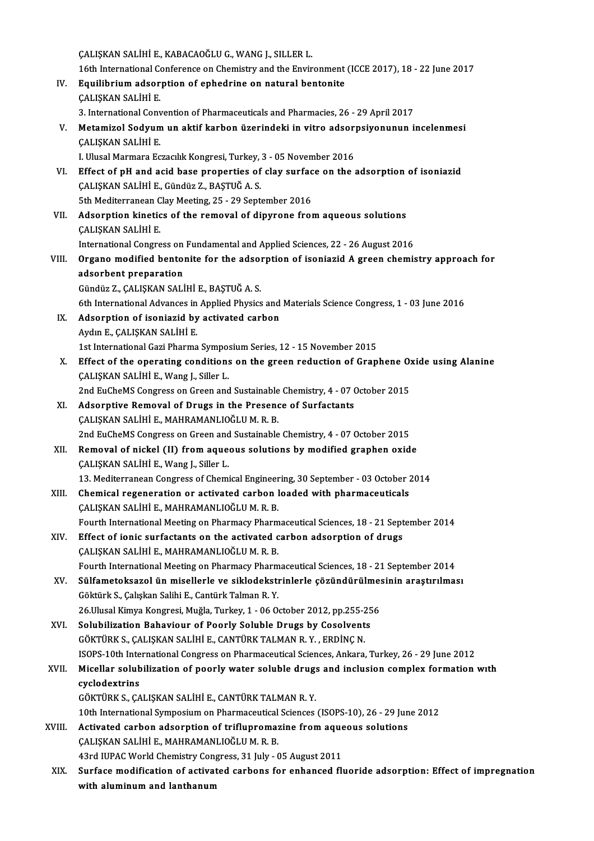ÇALIŞKANSALİHİE.,KABACAOĞLUG.,WANGJ.,SILLERL. 16th InternationalConference onChemistry and theEnvironment (ICCE2017),18 -22 June 2017 CALISKAN SALIHI E., KABACAOĞLU G., WANG J., SILLER L.<br>16th International Conference on Chemistry and the Environment<br>IV. Equilibrium adsorption of ephedrine on natural bentonite<br>CALISYAN SALIHI E 16th International Control<br>Equilibrium adsor<br>CALIŞKAN SALİHİ E. Equilibrium adsorption of ephedrine on natural bentonite<br>CALISKAN SALIHI E.<br>3. International Convention of Pharmaceuticals and Pharmacies, 26 - 29 April 2017<br>Metamirol Soduum un aktif karbon üzerindeki in vitro adsorpsivon CALISKAN SALİHİ E.<br>3. International Convention of Pharmaceuticals and Pharmacies, 26 - 29 April 2017<br>7. Metamizol Sodyum un aktif karbon üzerindeki in vitro adsorpsiyonunun incelenmesi<br>6.01 ISKAN SALİHİ E 3. International Conv<br>Metamizol Sodyun<br>ÇALIŞKAN SALİHİ E.<br>LIllusal Marmara Fe Metamizol Sodyum un aktif karbon üzerindeki in vitro adsor<br>ÇALIŞKAN SALİHİ E.<br>I. Ulusal Marmara Eczacılık Kongresi, Turkey, 3 - 05 November 2016<br>Effect of nH and asid base preperties of slav surfase en the 1 CALISKAN SALIHI E.<br>I. Ulusal Marmara Eczacılık Kongresi, Turkey, 3 - 05 November 2016<br>VI. Effect of pH and acid base properties of clay surface on the adsorption of isoniazid<br>CALISKAN SALIHI E. Gündüz 7. PASTUĞ A. S I. Ulusal Marmara Eczacılık Kongresi, Turkey,<br>Effect of pH and acid base properties of<br>ÇALIŞKAN SALİHİ E., Gündüz Z., BAŞTUĞ A. S.<br>Eth Moditorranean Clay Mosting 25 - 29 Sont. Effect of pH and acid base properties of clay surface<br>CALISKAN SALIHI E., Gündüz Z., BASTUĞ A. S.<br>5th Mediterranean Clay Meeting, 25 - 29 September 2016 CALISKAN SALİHİ E., Gündüz Z., BAŞTUĞ A. S.<br>5th Mediterranean Clay Meeting, 25 - 29 September 2016<br>VII. Adsorption kinetics of the removal of dipyrone from aqueous solutions<br>CALISKAN SALİHİ E. 5th Mediterranean Clay Meeting, 25 - 29 September 2016 Adsorption kinetics of the removal of dipyrone from aqueous solutions<br>CALISKAN SALIHI E.<br>International Congress on Fundamental and Applied Sciences, 22 - 26 August 2016<br>Organo modified bentenite for the adsorption of isoni CALISKAN SALIHI E.<br>International Congress on Fundamental and Applied Sciences, 22 - 26 August 2016<br>VIII. Organo modified bentonite for the adsorption of isoniazid A green chemistry approach for<br> International Congress on<br>Organo modified bento:<br>adsorbent preparation<br>Cündüz 7, CALISKAN SALI Organo modified bentonite for the adsol<br>adsorbent preparation<br>Gündüz Z., ÇALIŞKAN SALİHİ E., BAŞTUĞ A. S.<br>Eth International Advances in Annlied Physics adsorbent preparation<br>Gündüz Z., ÇALIŞKAN SALİHİ E., BAŞTUĞ A. S.<br>6th International Advances in Applied Physics and Materials Science Congress, 1 - 03 June 2016 IX. Adsorption of isoniazid by activated carbon Aydın E., ÇALIŞKAN SALİHİ E. Adsorption of isoniazid by activated carbon<br>Aydın E., ÇALIŞKAN SALİHİ E.<br>1st International Gazi Pharma Symposium Series, 12 - 15 November 2015<br>Effect of the energting conditions on the green reduction of Gren X. Effect of the operating conditions on the green reduction of Graphene Oxide using Alanine 1st International Gazi Pharma Sympo:<br>Effect of the operating conditions<br>CALISKAN SALİHİ E., Wang J., Siller L. Effect of the operating conditions on the green reduction of Graphene O:<br>CALISKAN SALIHI E., Wang J., Siller L.<br>2nd EuCheMS Congress on Green and Sustainable Chemistry, 4 - 07 October 2015 CALISKAN SALIHI E., Wang J., Siller L.<br>2nd EuCheMS Congress on Green and Sustainable Chemistry, 4 - 07 (<br>XI. Adsorptive Removal of Drugs in the Presence of Surfactants<br>CALISKAN SALIHI E. MAHRAMANI IQČLUM R.R. 2nd EuCheMS Congress on Green and Sustainable<br>Adsorptive Removal of Drugs in the Presenc<br>ÇALIŞKAN SALİHİ E., MAHRAMANLIOĞLUM.R.B.<br>2nd EuCheMS Congress on Creen and Sustainable 2018. Adsorptive Removal of Drugs in the Presence of Surfactants<br>CALISKAN SALIHI E., MAHRAMANLIOGLU M. R. B.<br>2nd EuCheMS Congress on Green and Sustainable Chemistry, 4 - 07 October 2015 XII. Removal of nickel (II) from aqueous solutions by modified graphen oxide ÇALIŞKAN SALİHİ E., Wang J., Siller L. Removal of nickel (II) from aqueous solutions by modified graphen oxide<br>CALISKAN SALIHI E., Wang J., Siller L.<br>13. Mediterranean Congress of Chemical Engineering, 30 September - 03 October 2014<br>Chemical pegeneration or act CALISKAN SALIHI E., Wang J., Siller L.<br>13. Mediterranean Congress of Chemical Engineering, 30 September - 03 October 2<br>XIII. Chemical regeneration or activated carbon loaded with pharmaceuticals Chemical regeneration or activated carbon loaded with pharmaceuticals CALISKAN SALIHI E., MAHRAMANLIOĞLUM.R.B. Fourth International Meeting on Pharmacy Pharmaceutical Sciences, 18 - 21 September 2014 XIV. Effect of ionic surfactants on the activated carbon adsorption of drugs ÇALIŞKAN SALİHİ E., MAHRAMANLIOĞLU M. R. B. Fourth International Meeting on Pharmacy Pharmaceutical Sciences, 18 - 21 September 2014 CALIŞKAN SALİHİ E., MAHRAMANLIOĞLU M. R. B.<br>Fourth International Meeting on Pharmacy Pharmaceutical Sciences, 18 - 21 September 2014<br>XV. Sülfametoksazol ün misellerle ve siklodekstrinlerle çözündürülmesinin araştırılması<br>C Göktürk S., Çalışkan Salihi E., Cantürk Talman R.Y. Sülfametoksazol ün misellerle ve siklodekstrinlerle çözündürülme:<br>Göktürk S., Çalışkan Salihi E., Cantürk Talman R. Y.<br>26.Ulusal Kimya Kongresi, Muğla, Turkey, 1 - 06 October 2012, pp.255-256<br>Solubilization Bahayiour of Bo 26. Ulusal Kimya Kongresi, Muğla, Turkey, 1 - 06 October 2012, pp. 255-256<br>XVI. Solubilization Bahaviour of Poorly Soluble Drugs by Cosolvents GÖKTÜRKS.,ÇALIŞKANSALİHİE.,CANTÜRKTALMANR.Y. ,ERDİNÇN. Solubilization Bahaviour of Poorly Soluble Drugs by Cosolvents<br>GÖKTÜRK S., ÇALIŞKAN SALİHİ E., CANTÜRK TALMAN R. Y. , ERDİNÇ N.<br>ISOPS-10th International Congress on Pharmaceutical Sciences, Ankara, Turkey, 26 - 29 June 201 GÖKTÜRK S., ÇALIŞKAN SALİHİ E., CANTÜRK TALMAN R. Y. , ERDİNÇ N.<br>ISOPS-10th International Congress on Pharmaceutical Sciences, Ankara, Turkey, 26 - 29 June 2012<br>XVII. Micellar solubilization of poorly water soluble drugs a **ISOPS-10th Inte<br>Micellar solub<br>cyclodextrins**<br>CÖVTÜPKS CA Micellar solubilization of poorly water soluble drug:<br>cyclodextrins<br>GÖKTÜRK S., ÇALIŞKAN SALİHİ E., CANTÜRK TALMAN R. Y.<br>10th International Sumnosium en Pharmaseutical Sciences. cyclodextrins<br>10th International Symposium on Pharmaceutical Sciences (ISOPS-10), 26 - 29 June 2012<br>10th International Symposium on Pharmaceutical Sciences (ISOPS-10), 26 - 29 June 2012 GÖKTÜRK S., ÇALIŞKAN SALİHİ E., CANTÜRK TALMAN R. Y.<br>10th International Symposium on Pharmaceutical Sciences (ISOPS-10), 26 - 29 Jun<br>XVIII. Activated carbon adsorption of triflupromazine from aqueous solutions<br>CALISYAN SAL 10th International Symposium on Pharmaceutical<br>Activated carbon adsorption of triflupromaz<br>ÇALIŞKAN SALİHİ E., MAHRAMANLIOĞLUM.R.B. Activated carbon adsorption of triflupromazine from aque<br>CALISKAN SALIHI E., MAHRAMANLIOĞLU M. R. B.<br>43rd IUPAC World Chemistry Congress, 31 July - 05 August 2011<br>Surface modification of estivated carbons for enhanced fl CALISKAN SALIHI E., MAHRAMANLIOĞLU M. R. B.<br>43rd IUPAC World Chemistry Congress, 31 July - 05 August 2011<br>XIX. Surface modification of activated carbons for enhanced fluoride adsorption: Effect of impregnation<br>with aluminu 43rd IUPAC World Chemistry Congress, 31 July - 05 August 2011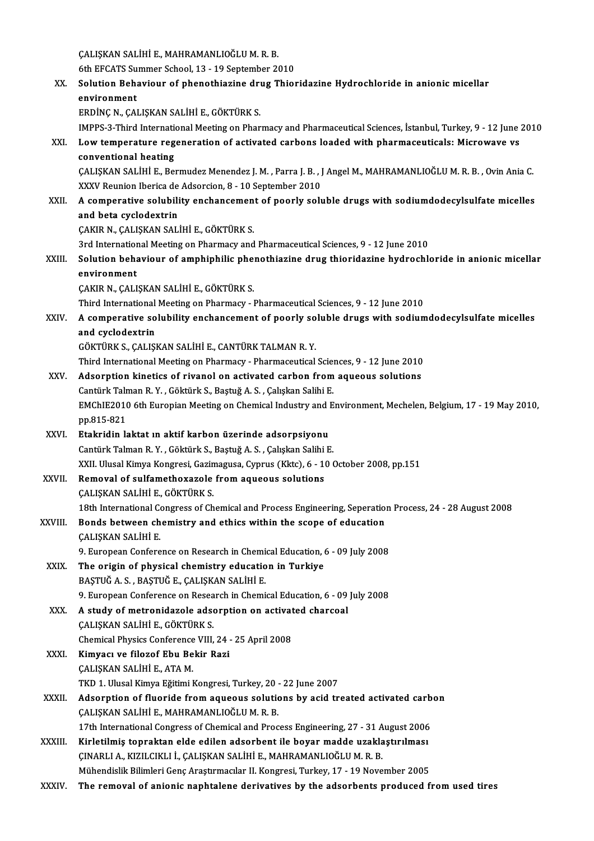ÇALIŞKANSALİHİE.,MAHRAMANLIOĞLUM.R.B. ÇALIŞKAN SALİHİ E., MAHRAMANLIOĞLU M. R. B.<br>6th EFCATS Summer School, 13 - 19 September 2010<br>Selution Behavieur ef nhanethiarine drug Thiel XX. Solution Behaviour of phenothiazine drug Thioridazine Hydrochloride in anionic micellar environment 6th EFCATS Su<br>Solution Beha<br>environment<br>EPDING N-CAL ERDİNÇ N., ÇALIŞKAN SALİHİ E., GÖKTÜRK S. IMPPS-3-Third International Meeting on Pharmacy and Pharmaceutical Sciences, İstanbul, Turkey, 9 - 12 June 2010 ERDİNÇ N., ÇALIŞKAN SALİHİ E., GÖKTÜRK S.<br>1998-12-YATA İnternational Meeting on Pharmacy and Pharmaceutical Sciences, İstanbul, Turkey, 9 - 12 June<br>XXI. Low temperature regeneration of activated carbons loaded with pha IMPPS-3-Third International<br>Low temperature regonventional heating<br>CALISYAN SALIHUE Po Low temperature regeneration of activated carbons loaded with pharmaceuticals: Microwave vs<br>conventional heating<br>ÇALIŞKAN SALİHİ E., Bermudez Menendez J. M. , Parra J. B. , J Angel M., MAHRAMANLIOĞLU M. R. B. , Ovin Ania C conventional heating<br>ÇALIŞKAN SALİHİ E., Bermudez Menendez J. M. , Parra J. B. , J<br>XXXV Reunion Iberica de Adsorcion, 8 - 10 September 2010<br>A comporative solubility enchansement of poorly solı XXII. A comperative solubility enchancement of poorly soluble drugs with sodiumdodecylsulfate micelles<br>and beta cyclodextrin XXXV Reunion Iberica de Adsorcion, 8 - 10 September 2010 ÇAKIR N., ÇALIŞKAN SALİHİ E., GÖKTÜRK S. and beta cyclodextrin<br>ÇAKIR N., ÇALIŞKAN SALİHİ E., GÖKTÜRK S.<br>3rd International Meeting on Pharmacy and Pharmaceutical Sciences, 9 - 12 June 2010<br>Selution behaviour of amphiphilis phanethissine drug thieridesine hydroshl CAKIR N., CALISKAN SALIHI E., GÖKTÜRK S.<br>3rd International Meeting on Pharmacy and Pharmaceutical Sciences, 9 - 12 June 2010<br>XXIII. Solution behaviour of amphiphilic phenothiazine drug thioridazine hydrochloride in ani 3rd Internation<br>Solution beha<br>environment<br>CAVIB N. CALI Solution behaviour of amphiphilic phe<mark>:</mark><br>environment<br>ÇAKIR N., ÇALIŞKAN SALİHİ E., GÖKTÜRK S.<br>Third International Meeting on Pharmegy. environment<br>ÇAKIR N., ÇALIŞKAN SALİHİ E., GÖKTÜRK S.<br>Third International Meeting on Pharmacy - Pharmaceutical Sciences, 9 - 12 June 2010 CAKIR N., CALISKAN SALİHİ E., GÖKTÜRK S.<br>Third International Meeting on Pharmacy - Pharmaceutical Sciences, 9 - 12 June 2010<br>XXIV. A comperative solubility enchancement of poorly soluble drugs with sodiumdodecylsulfate Third International<br>A comperative so<br>and cyclodextrin<br>CÖ<sup>LTTIDLS</sup> S CALISI A comperative solubility enchancement of poorly so<br>and cyclodextrin<br>GÖKTÜRK S., ÇALIŞKAN SALİHİ E., CANTÜRK TALMAN R. Y.<br>Third International Meeting on Pharmacy... Pharmaceutical and cyclodextrin<br>GÖKTÜRK S., ÇALIŞKAN SALİHİ E., CANTÜRK TALMAN R. Y.<br>Third International Meeting on Pharmacy - Pharmaceutical Sciences, 9 - 12 June 2010 XXV. Adsorption kinetics of rivanol on activated carbon fromaqueous solutions Third International Meeting on Pharmacy - Pharmaceutical Scientides<br>Adsorption kinetics of rivanol on activated carbon from<br>Cantürk Talman R.Y. , Göktürk S., Baştuğ A. S. , Çalışkan Salihi E.<br>EMChIE2010 éth Europian Meetin EMChIE2010 6th Europian Meeting on Chemical Industry and Environment, Mechelen, Belgium, 17 - 19 May 2010, pp.815-821 Cantürk Talr<br>EMChIE2010<br>pp.815-821<br>Etakridin k XXVI. Etakridin laktat ın aktif karbon üzerinde adsorpsiyonu Cantürk Talman R.Y., Göktürk S., Baştuğ A.S., Çalışkan Salihi E. Etakridin laktat ın aktif karbon üzerinde adsorpsiyonu<br>Cantürk Talman R. Y. , Göktürk S., Baştuğ A. S. , Çalışkan Salihi E.<br>XXII. Ulusal Kimya Kongresi, Gazimagusa, Cyprus (Kktc), 6 - 10 October 2008, pp.151<br>Pemevel ef sul Cantürk Talman R. Y. , Göktürk S., Baştuğ A. S. , Çalışkan Salihi<br>XXII. Ulusal Kimya Kongresi, Gazimagusa, Cyprus (Kktc), 6 - 1<br>XXVII. Removal of sulfamethoxazole from aqueous solutions XXII. Ulusal Kimya Kongresi, Gazin<br>Removal of sulfamethoxazole<br>ÇALIŞKAN SALİHİ E., GÖKTÜRK S.<br>19th International Congress of Ch Removal of sulfamethoxazole from aqueous solutions<br>CALISKAN SALIHI E., GÖKTÜRK S.<br>18th International Congress of Chemical and Process Engineering, Seperation Process, 24 - 28 August 2008 CALISKAN SALIHI E., GÖKTÜRK S.<br>18th International Congress of Chemical and Process Engineering, Seperation<br>XXVIII. Bonds between chemistry and ethics within the scope of education<br>CALISKAN SALIHI E 18th International Condisional Condisional<br>CALIŞKAN SALİHİ E.<br>2. European Confere Bonds between chemistry and ethics within the scope of education<br>CALISKAN SALIHI E.<br>9. European Conference on Research in Chemical Education, 6 - 09 July 2008<br>The exisin of physical shamistry education in Tunkiye. CALISKAN SALIHI E.<br>9. European Conference on Research in Chemical Education, t<br>XXIX. The origin of physical chemistry education in Turkiye<br>BASTUČA S. BASTUČE CALISKAN SALIHI E 9. European Conference on Research in Chemi<br>The origin of physical chemistry educatio<br>BAŞTUĞ A. S. , BAŞTUĞ E., ÇALIŞKAN SALİHİ E.<br>9. European Conference en Besearsh in Chemi The origin of physical chemistry education in Turkiye<br>BAŞTUĞ A. S., BAŞTUĞ E., ÇALIŞKAN SALİHİ E.<br>9. European Conference on Research in Chemical Education, 6 - 09 July 2008<br>A study of metronidarele adsorption on astivated BAȘTUĞ A. S. , BAȘTUĞ E., ÇALIȘKAN SALİHİ E.<br>9. European Conference on Research in Chemical Education, 6 - 09<br>XXX. A study of metronidazole adsorption on activated charcoal<br>6. CALISKAN SALİHLE, GÖKTÜRK S 9. European Conference on Resea<br>A study of metronidazole adse<br>ÇALIŞKAN SALİHİ E., GÖKTÜRK S.<br>Chamisal Physiss Conference VIII A study of metronidazole adsorption on activat<br>CALISKAN SALİHİ E., GÖKTÜRK S.<br>Chemical Physics Conference VIII, 24 - 25 April 2008<br>Kimyacı ve filozof Ebu Bekir Bezi CALIŞKAN SALİHİ E., GÖKTÜRK S.<br>Chemical Physics Conference VIII, 24<br>XXXI. Kimyacı ve filozof Ebu Bekir Razi<br>CALIŞKAN SALİHİ E., ATA M. Chemical Physics Conference<br>Kimyacı ve filozof Ebu Be<br>ÇALIŞKAN SALİHİ E., ATA M.<br>TKD 1. Hlusal Kimya Fğitimi I Kimyacı ve filozof Ebu Bekir Razi<br>ÇALIŞKAN SALİHİ E., ATA M.<br>TKD 1. Ulusal Kimya Eğitimi Kongresi, Turkey, 20 - 22 June 2007<br>Adeanntion of fluoride from asueous solutions bu asid tr XXXII. Adsorption of fluoride from aqueous solutions by acid treated activated carbon<br>CALISKAN SALIHI E., MAHRAMANLIOĞLU M. R. B. TKD 1. Ulusal Kimya Eğitimi Kongresi, Turkey, 20 -<br>Adsorption of fluoride from aqueous solutic<br>ÇALIŞKAN SALİHİ E., MAHRAMANLIOĞLU M. R. B.<br>17th International Congress of Chamisal and Bros Adsorption of fluoride from aqueous solutions by acid treated activated carb<br>CALISKAN SALIHI E., MAHRAMANLIOĞLU M. R. B.<br>17th International Congress of Chemical and Process Engineering, 27 - 31 August 2006<br>Kirletilmiş tanr CALIŞKAN SALİHİ E., MAHRAMANLIOĞLU M. R. B.<br>17th International Congress of Chemical and Process Engineering, 27 - 31 August 2006<br>XXXIII. Kirletilmiş topraktan elde edilen adsorbent ile boyar madde uzaklaştırılması<br>CINARLLA 17th International Congress of Chemical and Process Engineering, 27 - 31 A<br>Kirletilmiş topraktan elde edilen adsorbent ile boyar madde uzakla<br>ÇINARLI A., KIZILCIKLI İ., ÇALIŞKAN SALİHİ E., MAHRAMANLIOĞLU M. R. B.<br>Mühandial XXXIII. Kirletilmiş topraktan elde edilen adsorbent ile boyar madde uzaklaştırılması<br>ÇINARLI A., KIZILCIKLI İ., ÇALIŞKAN SALİHİ E., MAHRAMANLIOĞLU M. R. B.<br>Mühendislik Bilimleri Genç Araştırmacılar II. Kongresi, Turkey, 17

XXXIV. The removal of anionic naphtalene derivatives by the adsorbents produced fromused tires